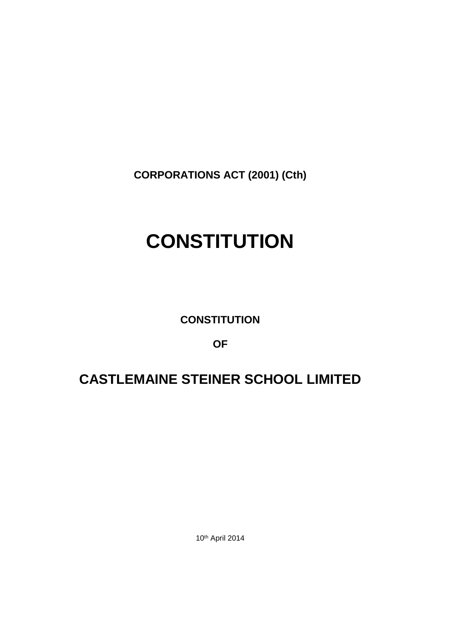**CORPORATIONS ACT (2001) (Cth)**

# **CONSTITUTION**

**CONSTITUTION**

**OF**

# **CASTLEMAINE STEINER SCHOOL LIMITED**

10th April 2014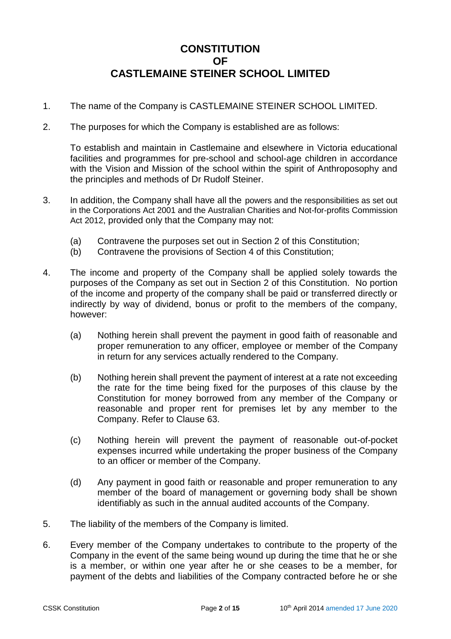# **CONSTITUTION OF CASTLEMAINE STEINER SCHOOL LIMITED**

- 1. The name of the Company is CASTLEMAINE STEINER SCHOOL LIMITED.
- 2. The purposes for which the Company is established are as follows:

To establish and maintain in Castlemaine and elsewhere in Victoria educational facilities and programmes for pre-school and school-age children in accordance with the Vision and Mission of the school within the spirit of Anthroposophy and the principles and methods of Dr Rudolf Steiner.

- 3. In addition, the Company shall have all the powers and the responsibilities as set out in the Corporations Act 2001 and the Australian Charities and Not-for-profits Commission Act 2012, provided only that the Company may not:
	- (a) Contravene the purposes set out in Section 2 of this Constitution;
	- (b) Contravene the provisions of Section 4 of this Constitution;
- 4. The income and property of the Company shall be applied solely towards the purposes of the Company as set out in Section 2 of this Constitution. No portion of the income and property of the company shall be paid or transferred directly or indirectly by way of dividend, bonus or profit to the members of the company, however:
	- (a) Nothing herein shall prevent the payment in good faith of reasonable and proper remuneration to any officer, employee or member of the Company in return for any services actually rendered to the Company.
	- (b) Nothing herein shall prevent the payment of interest at a rate not exceeding the rate for the time being fixed for the purposes of this clause by the Constitution for money borrowed from any member of the Company or reasonable and proper rent for premises let by any member to the Company. Refer to Clause 63.
	- (c) Nothing herein will prevent the payment of reasonable out-of-pocket expenses incurred while undertaking the proper business of the Company to an officer or member of the Company.
	- (d) Any payment in good faith or reasonable and proper remuneration to any member of the board of management or governing body shall be shown identifiably as such in the annual audited accounts of the Company.
- 5. The liability of the members of the Company is limited.
- 6. Every member of the Company undertakes to contribute to the property of the Company in the event of the same being wound up during the time that he or she is a member, or within one year after he or she ceases to be a member, for payment of the debts and liabilities of the Company contracted before he or she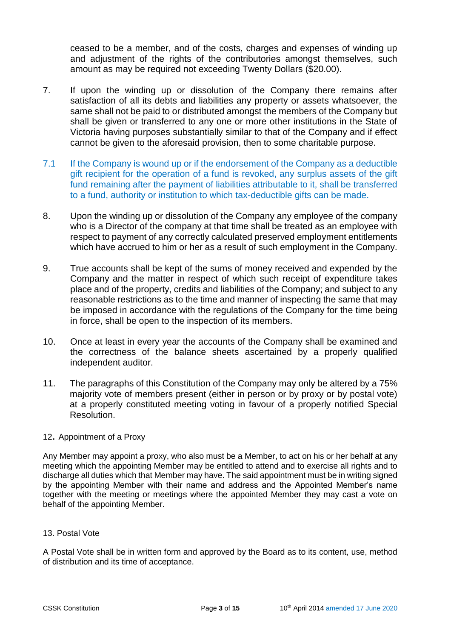ceased to be a member, and of the costs, charges and expenses of winding up and adjustment of the rights of the contributories amongst themselves, such amount as may be required not exceeding Twenty Dollars (\$20.00).

- 7. If upon the winding up or dissolution of the Company there remains after satisfaction of all its debts and liabilities any property or assets whatsoever, the same shall not be paid to or distributed amongst the members of the Company but shall be given or transferred to any one or more other institutions in the State of Victoria having purposes substantially similar to that of the Company and if effect cannot be given to the aforesaid provision, then to some charitable purpose.
- 7.1 If the Company is wound up or if the endorsement of the Company as a deductible gift recipient for the operation of a fund is revoked, any surplus assets of the gift fund remaining after the payment of liabilities attributable to it, shall be transferred to a fund, authority or institution to which tax-deductible gifts can be made.
- 8. Upon the winding up or dissolution of the Company any employee of the company who is a Director of the company at that time shall be treated as an employee with respect to payment of any correctly calculated preserved employment entitlements which have accrued to him or her as a result of such employment in the Company.
- 9. True accounts shall be kept of the sums of money received and expended by the Company and the matter in respect of which such receipt of expenditure takes place and of the property, credits and liabilities of the Company; and subject to any reasonable restrictions as to the time and manner of inspecting the same that may be imposed in accordance with the regulations of the Company for the time being in force, shall be open to the inspection of its members.
- 10. Once at least in every year the accounts of the Company shall be examined and the correctness of the balance sheets ascertained by a properly qualified independent auditor.
- 11. The paragraphs of this Constitution of the Company may only be altered by a 75% majority vote of members present (either in person or by proxy or by postal vote) at a properly constituted meeting voting in favour of a properly notified Special Resolution.

#### 12. Appointment of a Proxy

Any Member may appoint a proxy, who also must be a Member, to act on his or her behalf at any meeting which the appointing Member may be entitled to attend and to exercise all rights and to discharge all duties which that Member may have. The said appointment must be in writing signed by the appointing Member with their name and address and the Appointed Member's name together with the meeting or meetings where the appointed Member they may cast a vote on behalf of the appointing Member.

#### 13. Postal Vote

A Postal Vote shall be in written form and approved by the Board as to its content, use, method of distribution and its time of acceptance.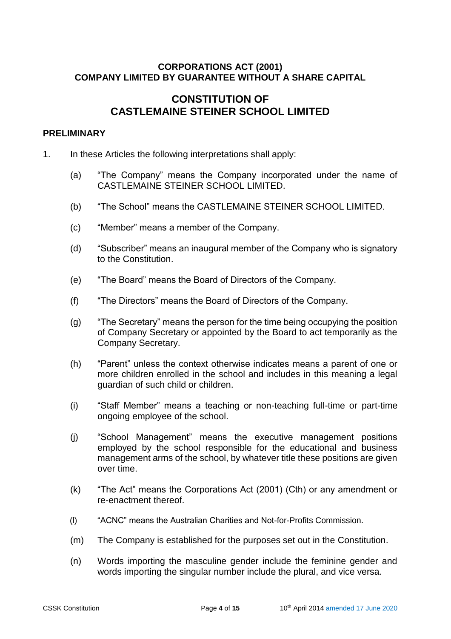#### **CORPORATIONS ACT (2001) COMPANY LIMITED BY GUARANTEE WITHOUT A SHARE CAPITAL**

# **CONSTITUTION OF CASTLEMAINE STEINER SCHOOL LIMITED**

#### **PRELIMINARY**

- 1. In these Articles the following interpretations shall apply:
	- (a) "The Company" means the Company incorporated under the name of CASTLEMAINE STEINER SCHOOL LIMITED.
	- (b) "The School" means the CASTLEMAINE STEINER SCHOOL LIMITED.
	- (c) "Member" means a member of the Company.
	- (d) "Subscriber" means an inaugural member of the Company who is signatory to the Constitution.
	- (e) "The Board" means the Board of Directors of the Company.
	- (f) "The Directors" means the Board of Directors of the Company.
	- (g) "The Secretary" means the person for the time being occupying the position of Company Secretary or appointed by the Board to act temporarily as the Company Secretary.
	- (h) "Parent" unless the context otherwise indicates means a parent of one or more children enrolled in the school and includes in this meaning a legal guardian of such child or children.
	- (i) "Staff Member" means a teaching or non-teaching full-time or part-time ongoing employee of the school.
	- (j) "School Management" means the executive management positions employed by the school responsible for the educational and business management arms of the school, by whatever title these positions are given over time.
	- (k) "The Act" means the Corporations Act (2001) (Cth) or any amendment or re-enactment thereof.
	- (l) "ACNC" means the Australian Charities and Not-for-Profits Commission.
	- (m) The Company is established for the purposes set out in the Constitution.
	- (n) Words importing the masculine gender include the feminine gender and words importing the singular number include the plural, and vice versa.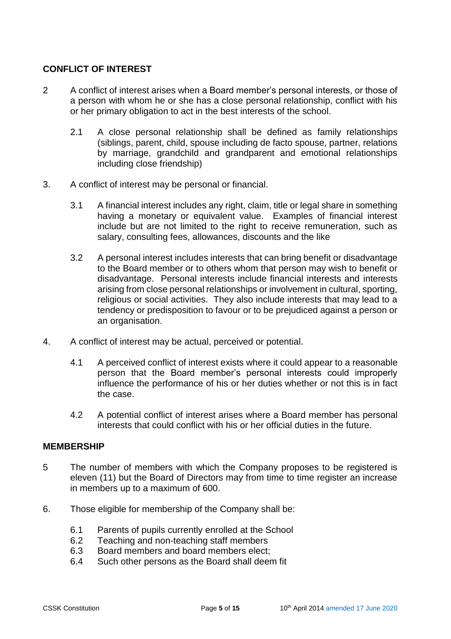## **CONFLICT OF INTEREST**

- 2 A conflict of interest arises when a Board member's personal interests, or those of a person with whom he or she has a close personal relationship, conflict with his or her primary obligation to act in the best interests of the school.
	- 2.1 A close personal relationship shall be defined as family relationships (siblings, parent, child, spouse including de facto spouse, partner, relations by marriage, grandchild and grandparent and emotional relationships including close friendship)
- 3. A conflict of interest may be personal or financial.
	- 3.1 A financial interest includes any right, claim, title or legal share in something having a monetary or equivalent value. Examples of financial interest include but are not limited to the right to receive remuneration, such as salary, consulting fees, allowances, discounts and the like
	- 3.2 A personal interest includes interests that can bring benefit or disadvantage to the Board member or to others whom that person may wish to benefit or disadvantage. Personal interests include financial interests and interests arising from close personal relationships or involvement in cultural, sporting, religious or social activities. They also include interests that may lead to a tendency or predisposition to favour or to be prejudiced against a person or an organisation.
- 4. A conflict of interest may be actual, perceived or potential.
	- 4.1 A perceived conflict of interest exists where it could appear to a reasonable person that the Board member's personal interests could improperly influence the performance of his or her duties whether or not this is in fact the case.
	- 4.2 A potential conflict of interest arises where a Board member has personal interests that could conflict with his or her official duties in the future.

#### **MEMBERSHIP**

- 5 The number of members with which the Company proposes to be registered is eleven (11) but the Board of Directors may from time to time register an increase in members up to a maximum of 600.
- 6. Those eligible for membership of the Company shall be:
	- 6.1 Parents of pupils currently enrolled at the School
	- 6.2 Teaching and non-teaching staff members
	- 6.3 Board members and board members elect;
	- 6.4 Such other persons as the Board shall deem fit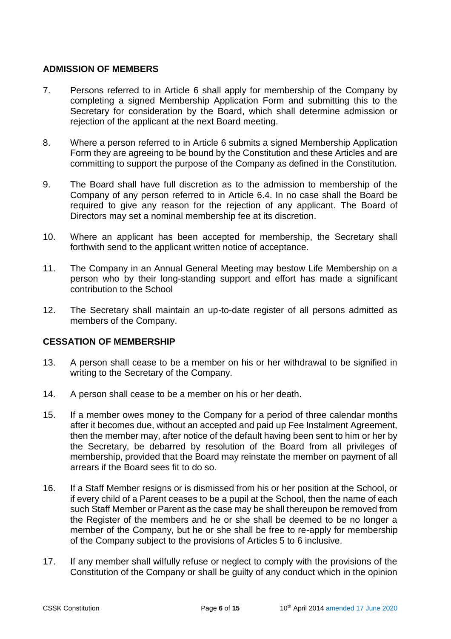#### **ADMISSION OF MEMBERS**

- 7. Persons referred to in Article 6 shall apply for membership of the Company by completing a signed Membership Application Form and submitting this to the Secretary for consideration by the Board, which shall determine admission or rejection of the applicant at the next Board meeting.
- 8. Where a person referred to in Article 6 submits a signed Membership Application Form they are agreeing to be bound by the Constitution and these Articles and are committing to support the purpose of the Company as defined in the Constitution.
- 9. The Board shall have full discretion as to the admission to membership of the Company of any person referred to in Article 6.4. In no case shall the Board be required to give any reason for the rejection of any applicant. The Board of Directors may set a nominal membership fee at its discretion.
- 10. Where an applicant has been accepted for membership, the Secretary shall forthwith send to the applicant written notice of acceptance.
- 11. The Company in an Annual General Meeting may bestow Life Membership on a person who by their long-standing support and effort has made a significant contribution to the School
- 12. The Secretary shall maintain an up-to-date register of all persons admitted as members of the Company.

#### **CESSATION OF MEMBERSHIP**

- 13. A person shall cease to be a member on his or her withdrawal to be signified in writing to the Secretary of the Company.
- 14. A person shall cease to be a member on his or her death.
- 15. If a member owes money to the Company for a period of three calendar months after it becomes due, without an accepted and paid up Fee Instalment Agreement, then the member may, after notice of the default having been sent to him or her by the Secretary, be debarred by resolution of the Board from all privileges of membership, provided that the Board may reinstate the member on payment of all arrears if the Board sees fit to do so.
- 16. If a Staff Member resigns or is dismissed from his or her position at the School, or if every child of a Parent ceases to be a pupil at the School, then the name of each such Staff Member or Parent as the case may be shall thereupon be removed from the Register of the members and he or she shall be deemed to be no longer a member of the Company, but he or she shall be free to re-apply for membership of the Company subject to the provisions of Articles 5 to 6 inclusive.
- 17. If any member shall wilfully refuse or neglect to comply with the provisions of the Constitution of the Company or shall be guilty of any conduct which in the opinion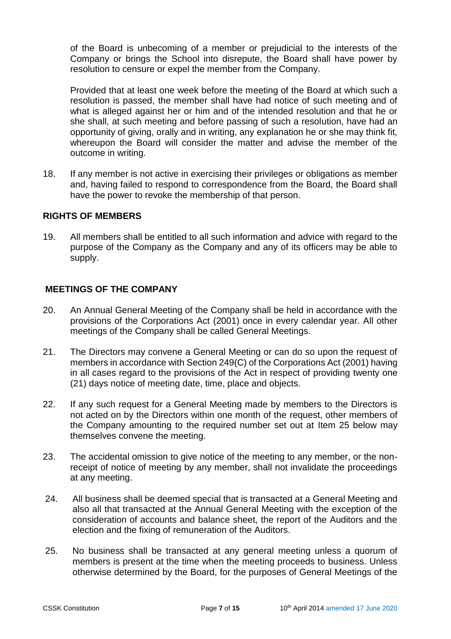of the Board is unbecoming of a member or prejudicial to the interests of the Company or brings the School into disrepute, the Board shall have power by resolution to censure or expel the member from the Company.

Provided that at least one week before the meeting of the Board at which such a resolution is passed, the member shall have had notice of such meeting and of what is alleged against her or him and of the intended resolution and that he or she shall, at such meeting and before passing of such a resolution, have had an opportunity of giving, orally and in writing, any explanation he or she may think fit, whereupon the Board will consider the matter and advise the member of the outcome in writing.

18. If any member is not active in exercising their privileges or obligations as member and, having failed to respond to correspondence from the Board, the Board shall have the power to revoke the membership of that person.

#### **RIGHTS OF MEMBERS**

19. All members shall be entitled to all such information and advice with regard to the purpose of the Company as the Company and any of its officers may be able to supply.

#### **MEETINGS OF THE COMPANY**

- 20. An Annual General Meeting of the Company shall be held in accordance with the provisions of the Corporations Act (2001) once in every calendar year. All other meetings of the Company shall be called General Meetings.
- 21. The Directors may convene a General Meeting or can do so upon the request of members in accordance with Section 249(C) of the Corporations Act (2001) having in all cases regard to the provisions of the Act in respect of providing twenty one (21) days notice of meeting date, time, place and objects.
- 22. If any such request for a General Meeting made by members to the Directors is not acted on by the Directors within one month of the request, other members of the Company amounting to the required number set out at Item 25 below may themselves convene the meeting.
- 23. The accidental omission to give notice of the meeting to any member, or the nonreceipt of notice of meeting by any member, shall not invalidate the proceedings at any meeting.
- 24. All business shall be deemed special that is transacted at a General Meeting and also all that transacted at the Annual General Meeting with the exception of the consideration of accounts and balance sheet, the report of the Auditors and the election and the fixing of remuneration of the Auditors.
- 25. No business shall be transacted at any general meeting unless a quorum of members is present at the time when the meeting proceeds to business. Unless otherwise determined by the Board, for the purposes of General Meetings of the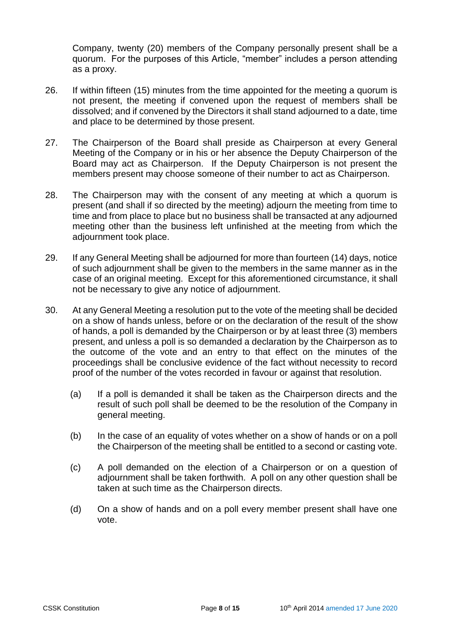Company, twenty (20) members of the Company personally present shall be a quorum. For the purposes of this Article, "member" includes a person attending as a proxy.

- 26. If within fifteen (15) minutes from the time appointed for the meeting a quorum is not present, the meeting if convened upon the request of members shall be dissolved; and if convened by the Directors it shall stand adjourned to a date, time and place to be determined by those present.
- 27. The Chairperson of the Board shall preside as Chairperson at every General Meeting of the Company or in his or her absence the Deputy Chairperson of the Board may act as Chairperson. If the Deputy Chairperson is not present the members present may choose someone of their number to act as Chairperson.
- 28. The Chairperson may with the consent of any meeting at which a quorum is present (and shall if so directed by the meeting) adjourn the meeting from time to time and from place to place but no business shall be transacted at any adjourned meeting other than the business left unfinished at the meeting from which the adjournment took place.
- 29. If any General Meeting shall be adjourned for more than fourteen (14) days, notice of such adjournment shall be given to the members in the same manner as in the case of an original meeting. Except for this aforementioned circumstance, it shall not be necessary to give any notice of adjournment.
- 30. At any General Meeting a resolution put to the vote of the meeting shall be decided on a show of hands unless, before or on the declaration of the result of the show of hands, a poll is demanded by the Chairperson or by at least three (3) members present, and unless a poll is so demanded a declaration by the Chairperson as to the outcome of the vote and an entry to that effect on the minutes of the proceedings shall be conclusive evidence of the fact without necessity to record proof of the number of the votes recorded in favour or against that resolution.
	- (a) If a poll is demanded it shall be taken as the Chairperson directs and the result of such poll shall be deemed to be the resolution of the Company in general meeting.
	- (b) In the case of an equality of votes whether on a show of hands or on a poll the Chairperson of the meeting shall be entitled to a second or casting vote.
	- (c) A poll demanded on the election of a Chairperson or on a question of adjournment shall be taken forthwith. A poll on any other question shall be taken at such time as the Chairperson directs.
	- (d) On a show of hands and on a poll every member present shall have one vote.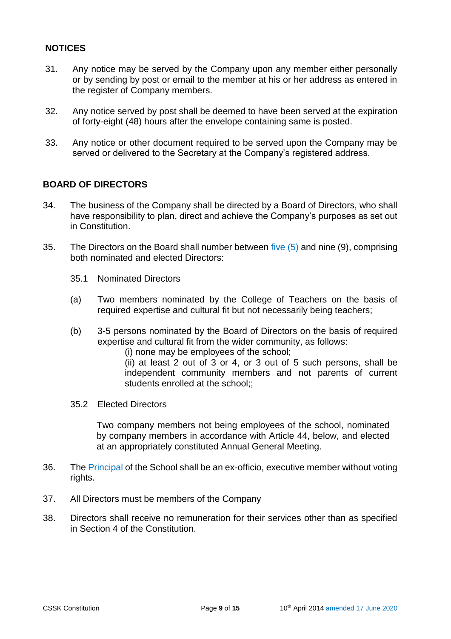## **NOTICES**

- 31. Any notice may be served by the Company upon any member either personally or by sending by post or email to the member at his or her address as entered in the register of Company members.
- 32. Any notice served by post shall be deemed to have been served at the expiration of forty-eight (48) hours after the envelope containing same is posted.
- 33. Any notice or other document required to be served upon the Company may be served or delivered to the Secretary at the Company's registered address.

## **BOARD OF DIRECTORS**

- 34. The business of the Company shall be directed by a Board of Directors, who shall have responsibility to plan, direct and achieve the Company's purposes as set out in Constitution.
- 35. The Directors on the Board shall number between five (5) and nine (9), comprising both nominated and elected Directors:
	- 35.1 Nominated Directors
	- (a) Two members nominated by the College of Teachers on the basis of required expertise and cultural fit but not necessarily being teachers;
	- (b) 3-5 persons nominated by the Board of Directors on the basis of required expertise and cultural fit from the wider community, as follows:
		- (i) none may be employees of the school;
		- (ii) at least 2 out of 3 or 4, or 3 out of 5 such persons, shall be independent community members and not parents of current students enrolled at the school;;
	- 35.2 Elected Directors

Two company members not being employees of the school, nominated by company members in accordance with Article 44, below, and elected at an appropriately constituted Annual General Meeting.

- 36. The Principal of the School shall be an ex-officio, executive member without voting rights.
- 37. All Directors must be members of the Company
- 38. Directors shall receive no remuneration for their services other than as specified in Section 4 of the Constitution.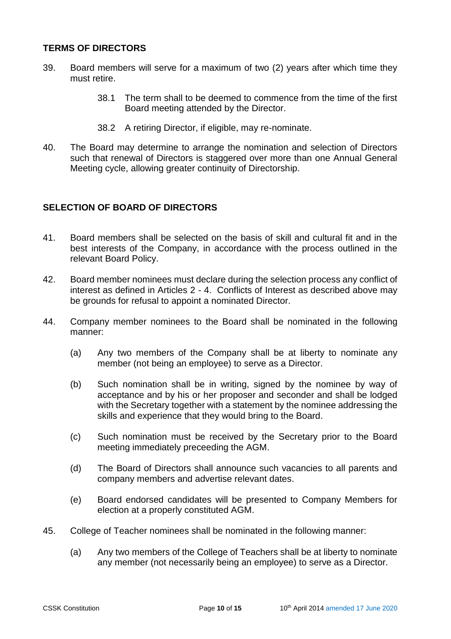#### **TERMS OF DIRECTORS**

- 39. Board members will serve for a maximum of two (2) years after which time they must retire.
	- 38.1 The term shall to be deemed to commence from the time of the first Board meeting attended by the Director.
	- 38.2 A retiring Director, if eligible, may re-nominate.
- 40. The Board may determine to arrange the nomination and selection of Directors such that renewal of Directors is staggered over more than one Annual General Meeting cycle, allowing greater continuity of Directorship.

## **SELECTION OF BOARD OF DIRECTORS**

- 41. Board members shall be selected on the basis of skill and cultural fit and in the best interests of the Company, in accordance with the process outlined in the relevant Board Policy.
- 42. Board member nominees must declare during the selection process any conflict of interest as defined in Articles 2 - 4. Conflicts of Interest as described above may be grounds for refusal to appoint a nominated Director.
- 44. Company member nominees to the Board shall be nominated in the following manner:
	- (a) Any two members of the Company shall be at liberty to nominate any member (not being an employee) to serve as a Director.
	- (b) Such nomination shall be in writing, signed by the nominee by way of acceptance and by his or her proposer and seconder and shall be lodged with the Secretary together with a statement by the nominee addressing the skills and experience that they would bring to the Board.
	- (c) Such nomination must be received by the Secretary prior to the Board meeting immediately preceeding the AGM.
	- (d) The Board of Directors shall announce such vacancies to all parents and company members and advertise relevant dates.
	- (e) Board endorsed candidates will be presented to Company Members for election at a properly constituted AGM.
- 45. College of Teacher nominees shall be nominated in the following manner:
	- (a) Any two members of the College of Teachers shall be at liberty to nominate any member (not necessarily being an employee) to serve as a Director.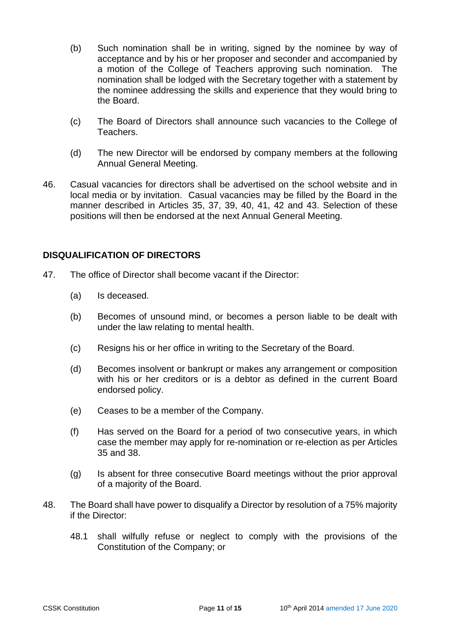- (b) Such nomination shall be in writing, signed by the nominee by way of acceptance and by his or her proposer and seconder and accompanied by a motion of the College of Teachers approving such nomination. The nomination shall be lodged with the Secretary together with a statement by the nominee addressing the skills and experience that they would bring to the Board.
- (c) The Board of Directors shall announce such vacancies to the College of Teachers.
- (d) The new Director will be endorsed by company members at the following Annual General Meeting.
- 46. Casual vacancies for directors shall be advertised on the school website and in local media or by invitation. Casual vacancies may be filled by the Board in the manner described in Articles 35, 37, 39, 40, 41, 42 and 43. Selection of these positions will then be endorsed at the next Annual General Meeting.

#### **DISQUALIFICATION OF DIRECTORS**

- 47. The office of Director shall become vacant if the Director:
	- (a) Is deceased.
	- (b) Becomes of unsound mind, or becomes a person liable to be dealt with under the law relating to mental health.
	- (c) Resigns his or her office in writing to the Secretary of the Board.
	- (d) Becomes insolvent or bankrupt or makes any arrangement or composition with his or her creditors or is a debtor as defined in the current Board endorsed policy.
	- (e) Ceases to be a member of the Company.
	- (f) Has served on the Board for a period of two consecutive years, in which case the member may apply for re-nomination or re-election as per Articles 35 and 38.
	- (g) Is absent for three consecutive Board meetings without the prior approval of a majority of the Board.
- 48. The Board shall have power to disqualify a Director by resolution of a 75% majority if the Director:
	- 48.1 shall wilfully refuse or neglect to comply with the provisions of the Constitution of the Company; or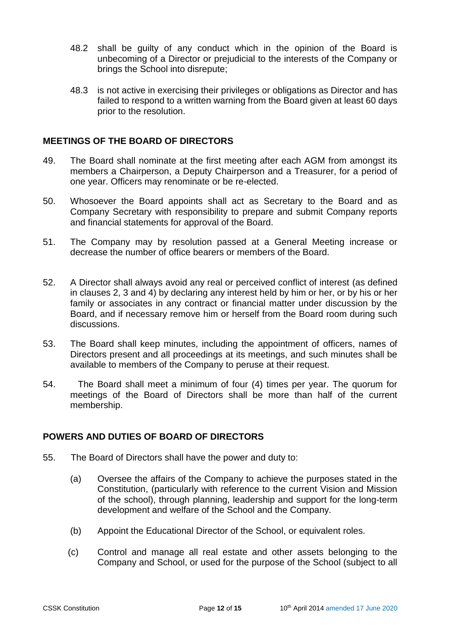- 48.2 shall be guilty of any conduct which in the opinion of the Board is unbecoming of a Director or prejudicial to the interests of the Company or brings the School into disrepute;
- 48.3 is not active in exercising their privileges or obligations as Director and has failed to respond to a written warning from the Board given at least 60 days prior to the resolution.

#### **MEETINGS OF THE BOARD OF DIRECTORS**

- 49. The Board shall nominate at the first meeting after each AGM from amongst its members a Chairperson, a Deputy Chairperson and a Treasurer, for a period of one year. Officers may renominate or be re-elected.
- 50. Whosoever the Board appoints shall act as Secretary to the Board and as Company Secretary with responsibility to prepare and submit Company reports and financial statements for approval of the Board.
- 51. The Company may by resolution passed at a General Meeting increase or decrease the number of office bearers or members of the Board.
- 52. A Director shall always avoid any real or perceived conflict of interest (as defined in clauses 2, 3 and 4) by declaring any interest held by him or her, or by his or her family or associates in any contract or financial matter under discussion by the Board, and if necessary remove him or herself from the Board room during such discussions.
- 53. The Board shall keep minutes, including the appointment of officers, names of Directors present and all proceedings at its meetings, and such minutes shall be available to members of the Company to peruse at their request.
- 54. The Board shall meet a minimum of four (4) times per year. The quorum for meetings of the Board of Directors shall be more than half of the current membership.

#### **POWERS AND DUTIES OF BOARD OF DIRECTORS**

- 55. The Board of Directors shall have the power and duty to:
	- (a) Oversee the affairs of the Company to achieve the purposes stated in the Constitution, (particularly with reference to the current Vision and Mission of the school), through planning, leadership and support for the long-term development and welfare of the School and the Company.
	- (b) Appoint the Educational Director of the School, or equivalent roles.
	- (c) Control and manage all real estate and other assets belonging to the Company and School, or used for the purpose of the School (subject to all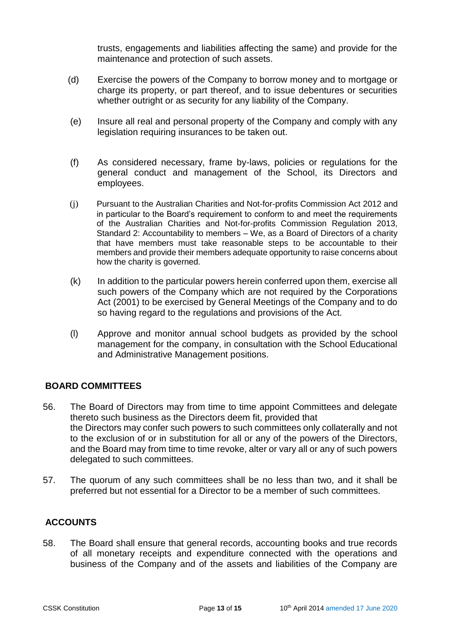trusts, engagements and liabilities affecting the same) and provide for the maintenance and protection of such assets.

- (d) Exercise the powers of the Company to borrow money and to mortgage or charge its property, or part thereof, and to issue debentures or securities whether outright or as security for any liability of the Company.
- (e) Insure all real and personal property of the Company and comply with any legislation requiring insurances to be taken out.
- (f) As considered necessary, frame by-laws, policies or regulations for the general conduct and management of the School, its Directors and employees.
- (j) Pursuant to the Australian Charities and Not-for-profits Commission Act 2012 and in particular to the Board's requirement to conform to and meet the requirements of the Australian Charities and Not-for-profits Commission Regulation 2013, Standard 2: Accountability to members – We, as a Board of Directors of a charity that have members must take reasonable steps to be accountable to their members and provide their members adequate opportunity to raise concerns about how the charity is governed.
- (k) In addition to the particular powers herein conferred upon them, exercise all such powers of the Company which are not required by the Corporations Act (2001) to be exercised by General Meetings of the Company and to do so having regard to the regulations and provisions of the Act.
- (l) Approve and monitor annual school budgets as provided by the school management for the company, in consultation with the School Educational and Administrative Management positions.

#### **BOARD COMMITTEES**

- 56. The Board of Directors may from time to time appoint Committees and delegate thereto such business as the Directors deem fit, provided that the Directors may confer such powers to such committees only collaterally and not to the exclusion of or in substitution for all or any of the powers of the Directors, and the Board may from time to time revoke, alter or vary all or any of such powers delegated to such committees.
- 57. The quorum of any such committees shall be no less than two, and it shall be preferred but not essential for a Director to be a member of such committees.

# **ACCOUNTS**

58. The Board shall ensure that general records, accounting books and true records of all monetary receipts and expenditure connected with the operations and business of the Company and of the assets and liabilities of the Company are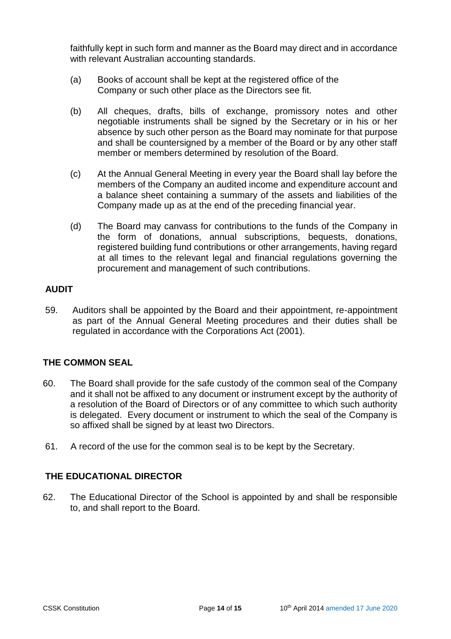faithfully kept in such form and manner as the Board may direct and in accordance with relevant Australian accounting standards.

- (a) Books of account shall be kept at the registered office of the Company or such other place as the Directors see fit.
- (b) All cheques, drafts, bills of exchange, promissory notes and other negotiable instruments shall be signed by the Secretary or in his or her absence by such other person as the Board may nominate for that purpose and shall be countersigned by a member of the Board or by any other staff member or members determined by resolution of the Board.
- (c) At the Annual General Meeting in every year the Board shall lay before the members of the Company an audited income and expenditure account and a balance sheet containing a summary of the assets and liabilities of the Company made up as at the end of the preceding financial year.
- (d) The Board may canvass for contributions to the funds of the Company in the form of donations, annual subscriptions, bequests, donations, registered building fund contributions or other arrangements, having regard at all times to the relevant legal and financial regulations governing the procurement and management of such contributions.

#### **AUDIT**

59. Auditors shall be appointed by the Board and their appointment, re-appointment as part of the Annual General Meeting procedures and their duties shall be regulated in accordance with the Corporations Act (2001).

# **THE COMMON SEAL**

- 60. The Board shall provide for the safe custody of the common seal of the Company and it shall not be affixed to any document or instrument except by the authority of a resolution of the Board of Directors or of any committee to which such authority is delegated. Every document or instrument to which the seal of the Company is so affixed shall be signed by at least two Directors.
- 61. A record of the use for the common seal is to be kept by the Secretary.

#### **THE EDUCATIONAL DIRECTOR**

62. The Educational Director of the School is appointed by and shall be responsible to, and shall report to the Board.